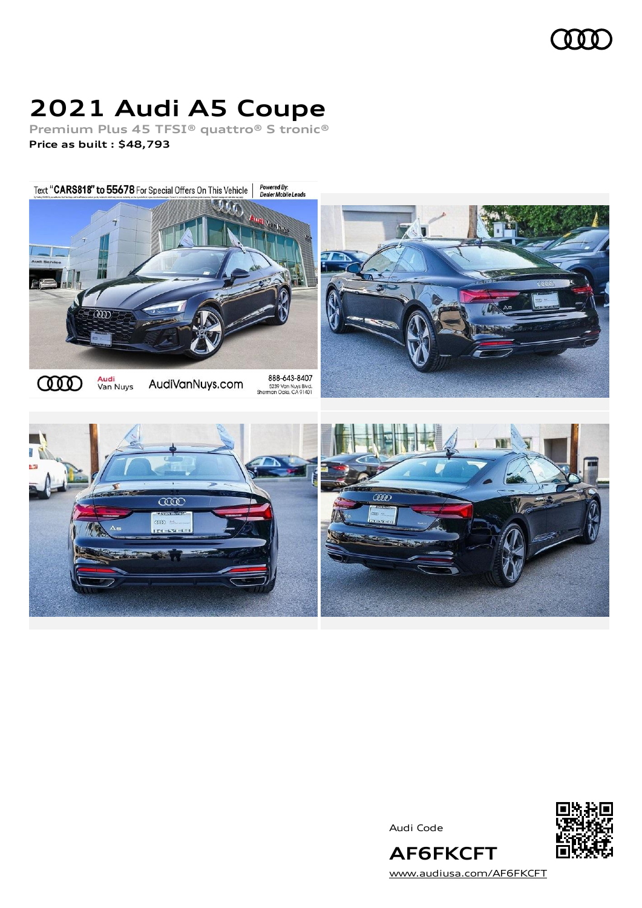## 0 O O

# **2021 Audi A5 Coupe**

**Premium Plus 45 TFSI® quattro® S tronic® Price as built [:](#page-8-0) \$48,793**

Powered By:<br>Dealer Mobile Leads Text "CARS818" to 55678 For Special Offers On This Vehicle |





Audi Code



[www.audiusa.com/AF6FKCFT](https://www.audiusa.com/AF6FKCFT)

**AF6FKCFT**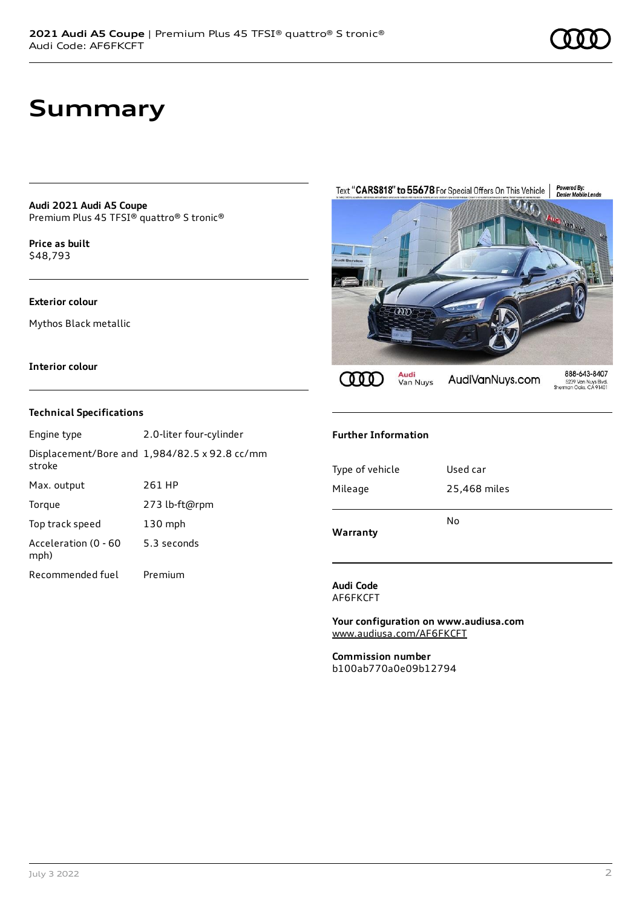## **Summary**

**Audi 2021 Audi A5 Coupe** Premium Plus 45 TFSI® quattro® S tronic®

**Price as buil[t](#page-8-0)** \$48,793

### **Exterior colour**

Mythos Black metallic

### **Interior colour**

### **Technical Specifications**

| Engine type                  | 2.0-liter four-cylinder                       |
|------------------------------|-----------------------------------------------|
| stroke                       | Displacement/Bore and 1,984/82.5 x 92.8 cc/mm |
| Max. output                  | 261 HP                                        |
| Torque                       | 273 lb-ft@rpm                                 |
| Top track speed              | $130$ mph                                     |
| Acceleration (0 - 60<br>mph) | 5.3 seconds                                   |
| Recommended fuel             | Premium                                       |



#### **Further Information**

| Warranty        | No           |
|-----------------|--------------|
| Mileage         | 25,468 miles |
| Type of vehicle | Used car     |
|                 |              |

#### **Audi Code** AF6FKCFT

**Your configuration on www.audiusa.com** [www.audiusa.com/AF6FKCFT](https://www.audiusa.com/AF6FKCFT)

**Commission number** b100ab770a0e09b12794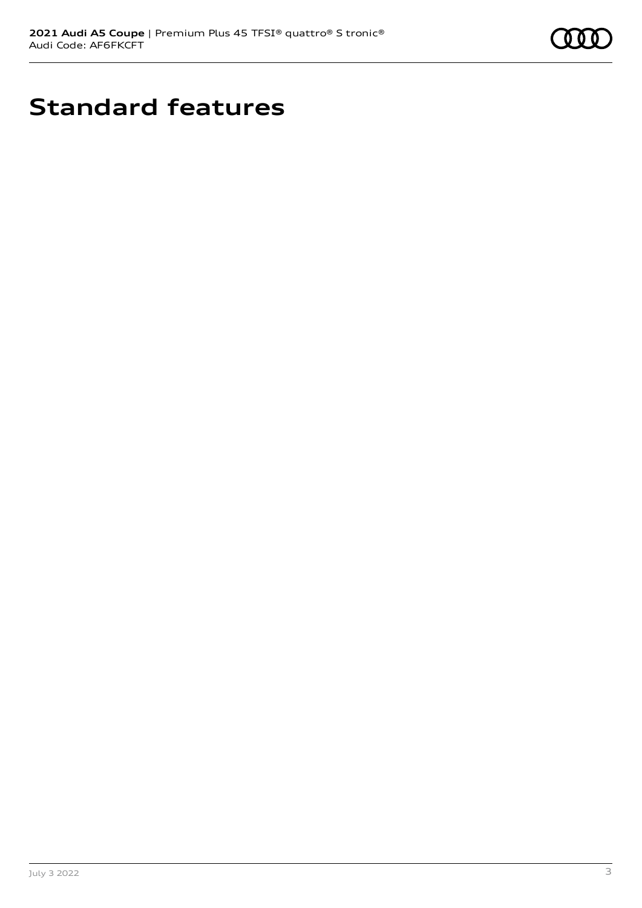

# **Standard features**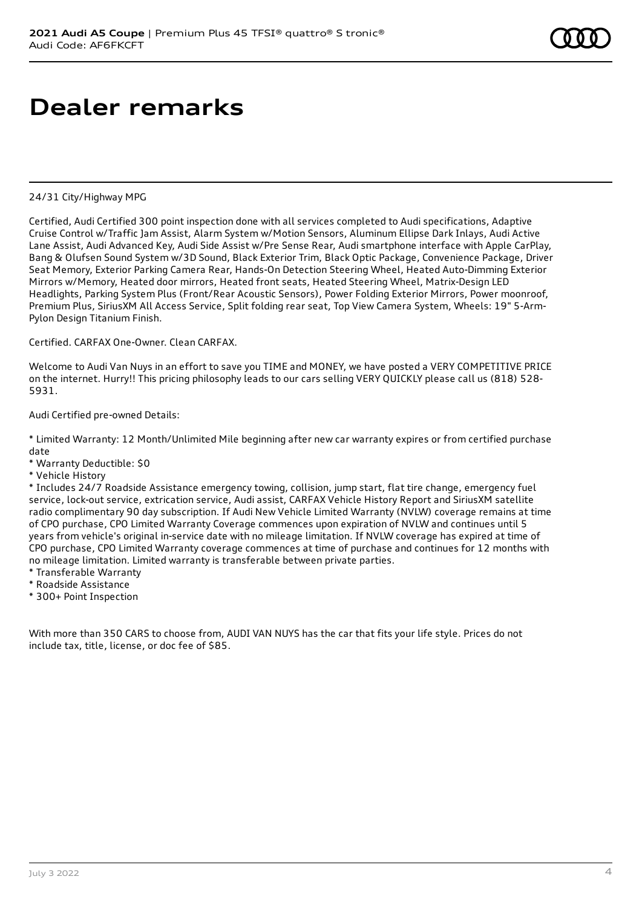# **Dealer remarks**

### 24/31 City/Highway MPG

Certified, Audi Certified 300 point inspection done with all services completed to Audi specifications, Adaptive Cruise Control w/Traffic Jam Assist, Alarm System w/Motion Sensors, Aluminum Ellipse Dark Inlays, Audi Active Lane Assist, Audi Advanced Key, Audi Side Assist w/Pre Sense Rear, Audi smartphone interface with Apple CarPlay, Bang & Olufsen Sound System w/3D Sound, Black Exterior Trim, Black Optic Package, Convenience Package, Driver Seat Memory, Exterior Parking Camera Rear, Hands-On Detection Steering Wheel, Heated Auto-Dimming Exterior Mirrors w/Memory, Heated door mirrors, Heated front seats, Heated Steering Wheel, Matrix-Design LED Headlights, Parking System Plus (Front/Rear Acoustic Sensors), Power Folding Exterior Mirrors, Power moonroof, Premium Plus, SiriusXM All Access Service, Split folding rear seat, Top View Camera System, Wheels: 19" 5-Arm-Pylon Design Titanium Finish.

Certified. CARFAX One-Owner. Clean CARFAX.

Welcome to Audi Van Nuys in an effort to save you TIME and MONEY, we have posted a VERY COMPETITIVE PRICE on the internet. Hurry!! This pricing philosophy leads to our cars selling VERY QUICKLY please call us (818) 528- 5931.

### Audi Certified pre-owned Details:

\* Limited Warranty: 12 Month/Unlimited Mile beginning after new car warranty expires or from certified purchase date

- \* Warranty Deductible: \$0
- \* Vehicle History

\* Includes 24/7 Roadside Assistance emergency towing, collision, jump start, flat tire change, emergency fuel service, lock-out service, extrication service, Audi assist, CARFAX Vehicle History Report and SiriusXM satellite radio complimentary 90 day subscription. If Audi New Vehicle Limited Warranty (NVLW) coverage remains at time of CPO purchase, CPO Limited Warranty Coverage commences upon expiration of NVLW and continues until 5 years from vehicle's original in-service date with no mileage limitation. If NVLW coverage has expired at time of CPO purchase, CPO Limited Warranty coverage commences at time of purchase and continues for 12 months with no mileage limitation. Limited warranty is transferable between private parties.

- \* Transferable Warranty
- \* Roadside Assistance
- \* 300+ Point Inspection

With more than 350 CARS to choose from, AUDI VAN NUYS has the car that fits your life style. Prices do not include tax, title, license, or doc fee of \$85.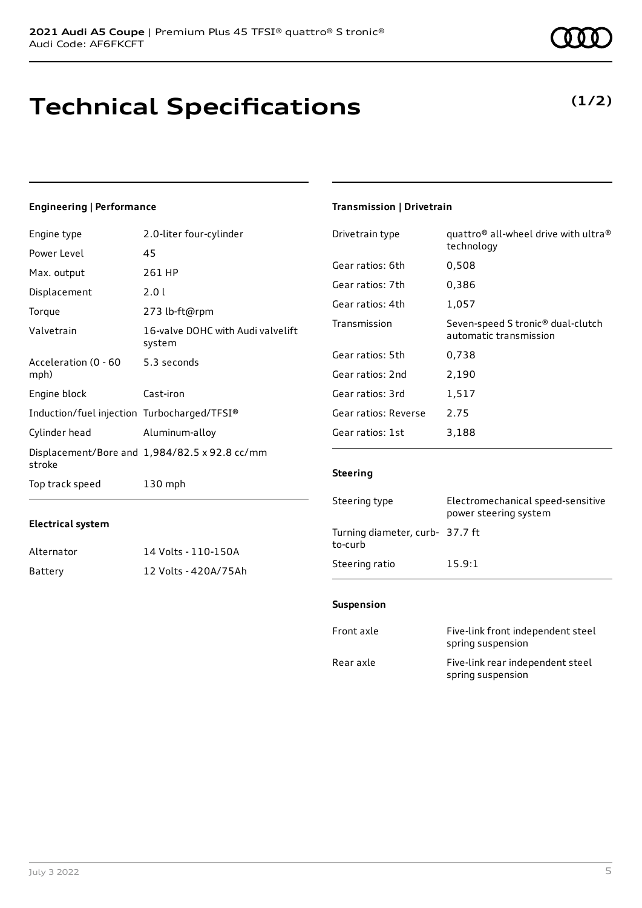## **Technical Specifications**

## **(1/2)**

## **Engineering | Performance**

| Engine type                                 | 2.0-liter four-cylinder                       | Drivetrain type      | quattro <sup>®</sup> all-wheel drive with ultra <sup>®</sup>            |
|---------------------------------------------|-----------------------------------------------|----------------------|-------------------------------------------------------------------------|
| Power Level                                 | 45                                            |                      | technology                                                              |
| Max. output                                 | 261 HP                                        | Gear ratios: 6th     | 0,508                                                                   |
| Displacement                                | 2.0 l                                         | Gear ratios: 7th     | 0,386                                                                   |
| Torque                                      | 273 lb-ft@rpm                                 | Gear ratios: 4th     | 1,057                                                                   |
| Valvetrain                                  | 16-valve DOHC with Audi valvelift<br>system   | Transmission         | Seven-speed S tronic <sup>®</sup> dual-clutch<br>automatic transmission |
| Acceleration (0 - 60                        | 5.3 seconds                                   | Gear ratios: 5th     | 0,738                                                                   |
| mph)                                        |                                               | Gear ratios: 2nd     | 2,190                                                                   |
| Engine block                                | Cast-iron                                     | Gear ratios: 3rd     | 1,517                                                                   |
| Induction/fuel injection Turbocharged/TFSI® |                                               | Gear ratios: Reverse | 2.75                                                                    |
| Cylinder head                               | Aluminum-alloy                                | Gear ratios: 1st     | 3,188                                                                   |
| stroke                                      | Displacement/Bore and 1,984/82.5 x 92.8 cc/mm |                      |                                                                         |
| Top track speed                             | $130$ mph                                     | <b>Steering</b>      |                                                                         |
|                                             |                                               |                      |                                                                         |

## **Electrical system**

| Alternator | 14 Volts - 110-150A  |
|------------|----------------------|
| Battery    | 12 Volts - 420A/75Ah |

## **Transmission | Drivetrain**

| Gear ratios: 4th                           | 1,057                                                                   |
|--------------------------------------------|-------------------------------------------------------------------------|
| Transmission                               | Seven-speed S tronic <sup>®</sup> dual-clutch<br>automatic transmission |
| Gear ratios: 5th                           | 0,738                                                                   |
| Gear ratios: 2nd                           | 2,190                                                                   |
| Gear ratios: 3rd                           | 1,517                                                                   |
| Gear ratios: Reverse                       | 2.75                                                                    |
| Gear ratios: 1st                           | 3,188                                                                   |
| <b>Steering</b>                            |                                                                         |
| Steering type                              | Electromechanical speed-sensitive<br>power steering system              |
| Turning diameter, curb- 37.7 ft<br>to-curb |                                                                         |

## **Suspension**

Steering ratio 15.9:1

| Front axle | Five-link front independent steel<br>spring suspension |
|------------|--------------------------------------------------------|
| Rear axle  | Five-link rear independent steel<br>spring suspension  |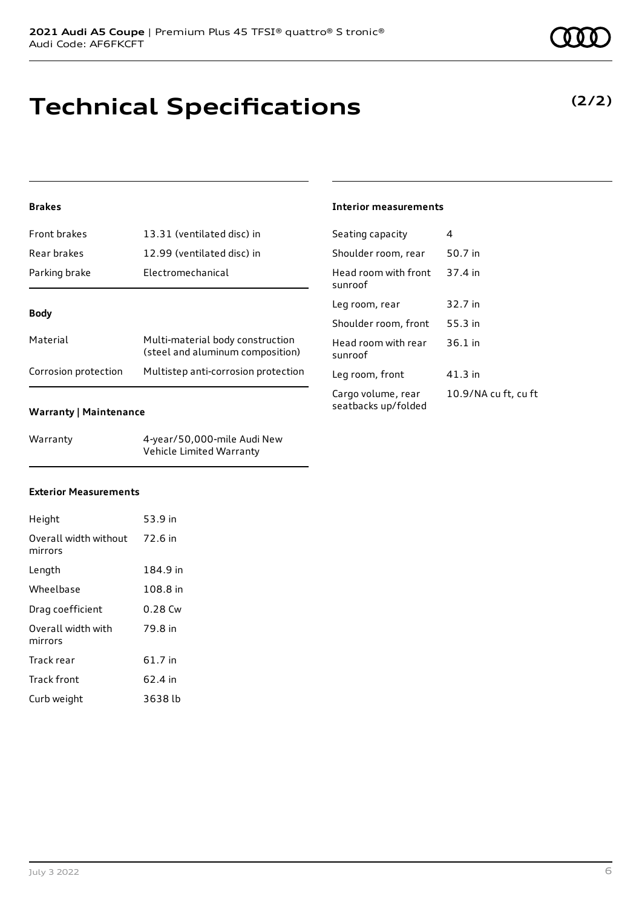**Technical Specifications**

## **Brakes**

| <b>Front brakes</b>  | 13.31 (ventilated disc) in                                           |  |
|----------------------|----------------------------------------------------------------------|--|
| Rear brakes          | 12.99 (ventilated disc) in                                           |  |
| Parking brake        | Electromechanical                                                    |  |
|                      |                                                                      |  |
| <b>Body</b>          |                                                                      |  |
| Material             | Multi-material body construction<br>(steel and aluminum composition) |  |
| Corrosion protection | Multistep anti-corrosion protection                                  |  |

## **Warranty | Maintenance**

| Warranty | 4-year/50,000-mile Audi New |
|----------|-----------------------------|
|          | Vehicle Limited Warranty    |

## **Exterior Measurements**

| Height                                   | 53.9 in   |
|------------------------------------------|-----------|
| Overall width without 72.6 in<br>mirrors |           |
| Length                                   | 184.9 in  |
| Wheelbase                                | 108.8 in  |
| Drag coefficient                         | $0.28$ Cw |
| Overall width with<br>mirrors            | 79.8 in   |
| Track rear                               | 61.7 in   |
| Track front                              | 62.4 in   |
| Curb weight                              | 3638 lb   |



## **Interior measurements**

| Seating capacity                          | Δ                    |
|-------------------------------------------|----------------------|
| Shoulder room, rear                       | 50.7 in              |
| Head room with front<br>sunroof           | 37.4 in              |
| Leg room, rear                            | 32.7 in              |
| Shoulder room, front                      | 55.3 in              |
| Head room with rear<br>sunroof            | $36.1$ in            |
| Leg room, front                           | 41.3 in              |
| Cargo volume, rear<br>seatbacks up/folded | 10.9/NA cu ft, cu ft |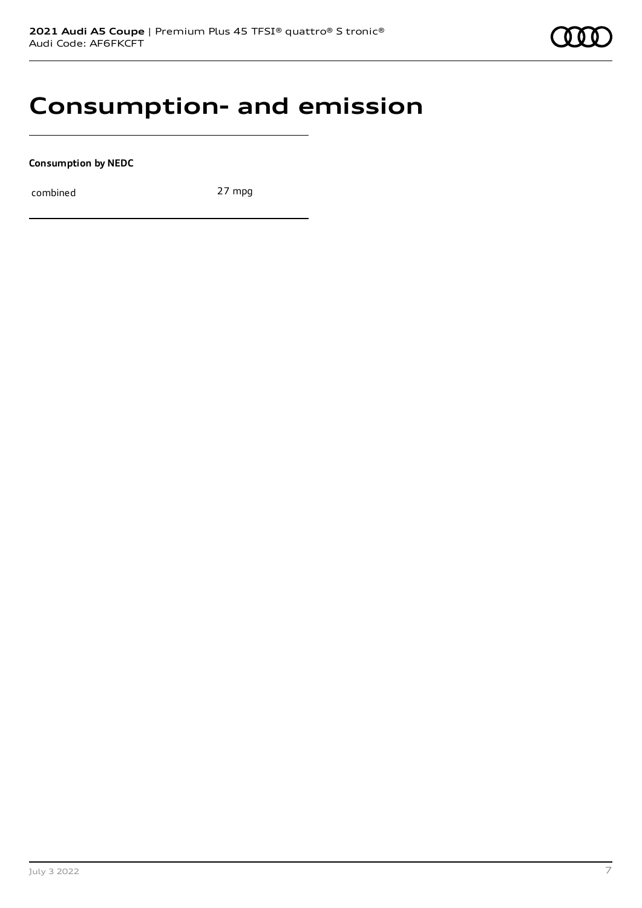## **Consumption- and emission**

**Consumption by NEDC**

combined 27 mpg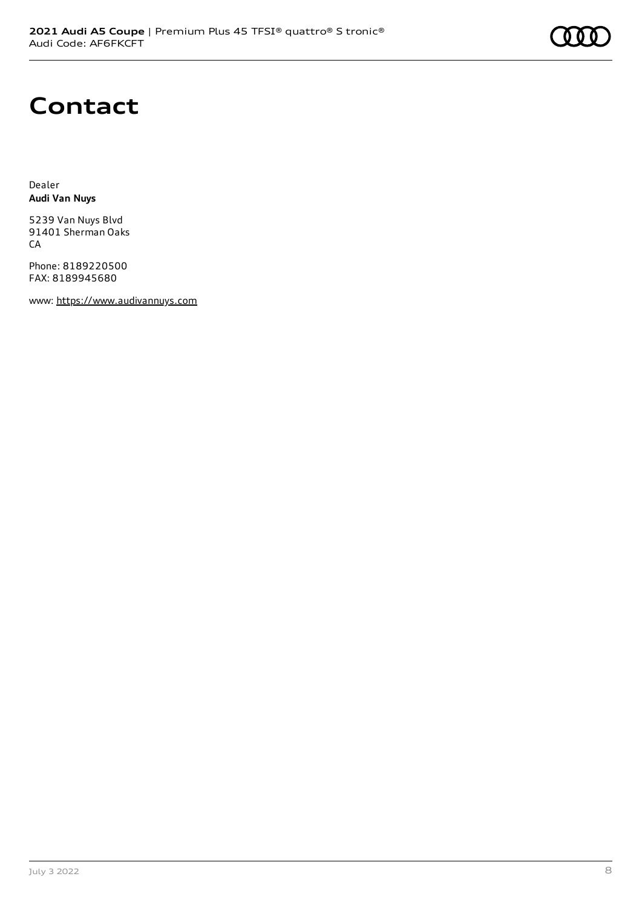# **Contact**

Dealer **Audi Van Nuys**

5239 Van Nuys Blvd 91401 Sherman Oaks CA

Phone: 8189220500 FAX: 8189945680

www: [https://www.audivannuys.com](https://www.audivannuys.com/)